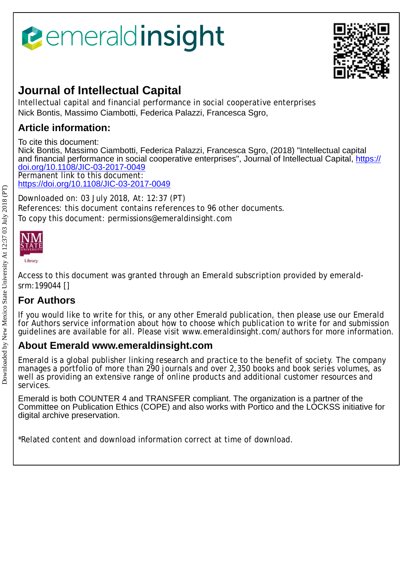# *<u><b>emeraldinsight</u>*



## **Journal of Intellectual Capital**

Intellectual capital and financial performance in social cooperative enterprises Nick Bontis, Massimo Ciambotti, Federica Palazzi, Francesca Sgro,

## **Article information:**

To cite this document:

Nick Bontis, Massimo Ciambotti, Federica Palazzi, Francesca Sgro, (2018) "Intellectual capital and financial performance in social cooperative enterprises", Journal of Intellectual Capital, [https://](https://doi.org/10.1108/JIC-03-2017-0049) [doi.org/10.1108/JIC-03-2017-0049](https://doi.org/10.1108/JIC-03-2017-0049) Permanent link to this document:

<https://doi.org/10.1108/JIC-03-2017-0049>

Downloaded on: 03 July 2018, At: 12:37 (PT) References: this document contains references to 96 other documents. To copy this document: permissions@emeraldinsight.com



Library

Access to this document was granted through an Emerald subscription provided by emeraldsrm:199044 []

## **For Authors**

If you would like to write for this, or any other Emerald publication, then please use our Emerald for Authors service information about how to choose which publication to write for and submission guidelines are available for all. Please visit www.emeraldinsight.com/authors for more information.

### **About Emerald www.emeraldinsight.com**

Emerald is a global publisher linking research and practice to the benefit of society. The company manages a portfolio of more than 290 journals and over 2,350 books and book series volumes, as well as providing an extensive range of online products and additional customer resources and services.

Emerald is both COUNTER 4 and TRANSFER compliant. The organization is a partner of the Committee on Publication Ethics (COPE) and also works with Portico and the LOCKSS initiative for digital archive preservation.

\*Related content and download information correct at time of download.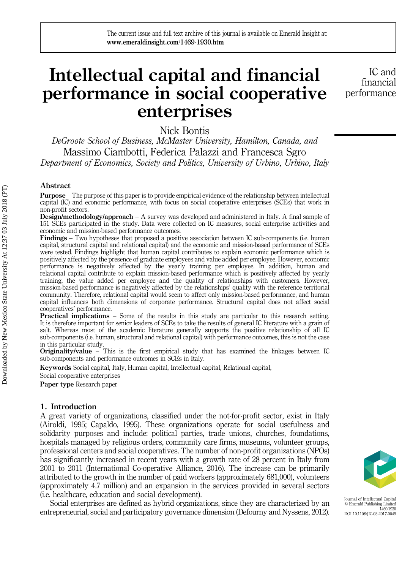## Intellectual capital and financial performance in social cooperative enterprises

IC and financial performance

Nick Bontis

DeGroote School of Business, McMaster University, Hamilton, Canada, and Massimo Ciambotti, Federica Palazzi and Francesca Sgro Department of Economics, Society and Politics, University of Urbino, Urbino, Italy

#### Abstract

Purpose – The purpose of this paper is to provide empirical evidence of the relationship between intellectual capital (IC) and economic performance, with focus on social cooperative enterprises (SCEs) that work in non-profit sectors.

**Design/methodology/approach** – A survey was developed and administered in Italy. A final sample of 151 SCEs participated in the study. Data were collected on IC measures, social enterprise activities and economic and mission-based performance outcomes.

Findings – Two hypotheses that proposed a positive association between IC sub-components (i.e. human capital, structural capital and relational capital) and the economic and mission-based performance of SCEs were tested. Findings highlight that human capital contributes to explain economic performance which is positively affected by the presence of graduate employees and value added per employee. However, economic performance is negatively affected by the yearly training per employee. In addition, human and relational capital contribute to explain mission-based performance which is positively affected by yearly training, the value added per employee and the quality of relationships with customers. However, mission-based performance is negatively affected by the relationships' quality with the reference territorial community. Therefore, relational capital would seem to affect only mission-based performance, and human capital influences both dimensions of corporate performance. Structural capital does not affect social cooperatives' performance.

Practical implications – Some of the results in this study are particular to this research setting. It is therefore important for senior leaders of SCEs to take the results of general IC literature with a grain of salt. Whereas most of the academic literature generally supports the positive relationship of all IC sub-components (i.e. human, structural and relational capital) with performance outcomes, this is not the case in this particular study.

**Originality/value** – This is the first empirical study that has examined the linkages between IC sub-components and performance outcomes in SCEs in Italy.

Keywords Social capital, Italy, Human capital, Intellectual capital, Relational capital,

Social cooperative enterprises

Paper type Research paper

#### 1. Introduction

A great variety of organizations, classified under the not-for-profit sector, exist in Italy (Airoldi, 1995; Capaldo, 1995). These organizations operate for social usefulness and solidarity purposes and include: political parties, trade unions, churches, foundations, hospitals managed by religious orders, community care firms, museums, volunteer groups, professional centers and social cooperatives. The number of non-profit organizations (NPOs) has significantly increased in recent years with a growth rate of 28 percent in Italy from 2001 to 2011 (International Co-operative Alliance, 2016). The increase can be primarily attributed to the growth in the number of paid workers (approximately 681,000), volunteers (approximately 4.7 million) and an expansion in the services provided in several sectors (i.e. healthcare, education and social development).

Social enterprises are defined as hybrid organizations, since they are characterized by an entrepreneurial, social and participatory governance dimension (Defourny and Nyssens, 2012).



Journal of Intellectual Capital © Emerald Publishing Limited 1469-1930 DOI 10.1108/JIC-03-2017-0049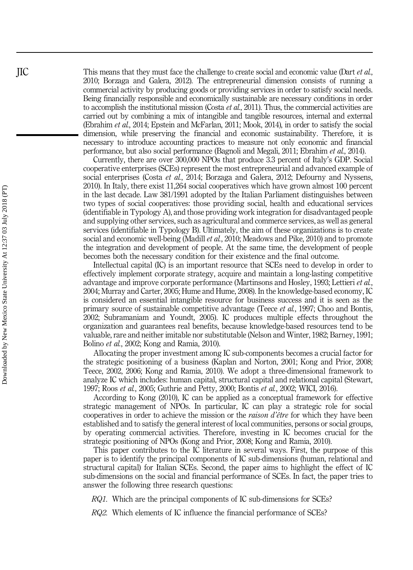This means that they must face the challenge to create social and economic value (Dart et al., 2010; Borzaga and Galera, 2012). The entrepreneurial dimension consists of running a commercial activity by producing goods or providing services in order to satisfy social needs. Being financially responsible and economically sustainable are necessary conditions in order to accomplish the institutional mission (Costa *et al.*, 2011). Thus, the commercial activities are carried out by combining a mix of intangible and tangible resources, internal and external (Ebrahim et al., 2014; Epstein and McFarlan, 2011; Mook, 2014), in order to satisfy the social dimension, while preserving the financial and economic sustainability. Therefore, it is necessary to introduce accounting practices to measure not only economic and financial performance, but also social performance (Bagnoli and Megali, 2011; Ebrahim et al., 2014).

Currently, there are over 300,000 NPOs that produce 3.3 percent of Italy's GDP. Social cooperative enterprises (SCEs) represent the most entrepreneurial and advanced example of social enterprises (Costa et al., 2014; Borzaga and Galera, 2012; Defourny and Nyssens, 2010). In Italy, there exist 11,264 social cooperatives which have grown almost 100 percent in the last decade. Law 381/1991 adopted by the Italian Parliament distinguishes between two types of social cooperatives: those providing social, health and educational services (identifiable in Typology A), and those providing work integration for disadvantaged people and supplying other services, such as agricultural and commerce services, as well as general services (identifiable in Typology B). Ultimately, the aim of these organizations is to create social and economic well-being (Madill *et al.*, 2010; Meadows and Pike, 2010) and to promote the integration and development of people. At the same time, the development of people becomes both the necessary condition for their existence and the final outcome.

Intellectual capital (IC) is an important resource that SCEs need to develop in order to effectively implement corporate strategy, acquire and maintain a long-lasting competitive advantage and improve corporate performance (Martinsons and Hosley, 1993; Lettieri et al., 2004; Murray and Carter, 2005; Hume and Hume, 2008). In the knowledge-based economy, IC is considered an essential intangible resource for business success and it is seen as the primary source of sustainable competitive advantage (Teece et al., 1997; Choo and Bontis, 2002; Subramaniam and Youndt, 2005). IC produces multiple effects throughout the organization and guarantees real benefits, because knowledge-based resources tend to be valuable, rare and neither imitable nor substitutable (Nelson and Winter, 1982; Barney, 1991; Bolino et al., 2002; Kong and Ramia, 2010).

Allocating the proper investment among IC sub-components becomes a crucial factor for the strategic positioning of a business (Kaplan and Norton, 2001; Kong and Prior, 2008; Teece, 2002, 2006; Kong and Ramia, 2010). We adopt a three-dimensional framework to analyze IC which includes: human capital, structural capital and relational capital (Stewart, 1997; Roos et al., 2005; Guthrie and Petty, 2000; Bontis et al., 2002; WICI, 2016).

According to Kong (2010), IC can be applied as a conceptual framework for effective strategic management of NPOs. In particular, IC can play a strategic role for social cooperatives in order to achieve the mission or the *raison d'être* for which they have been established and to satisfy the general interest of local communities, persons or social groups, by operating commercial activities. Therefore, investing in IC becomes crucial for the strategic positioning of NPOs (Kong and Prior, 2008; Kong and Ramia, 2010).

This paper contributes to the IC literature in several ways. First, the purpose of this paper is to identify the principal components of IC sub-dimensions (human, relational and structural capital) for Italian SCEs. Second, the paper aims to highlight the effect of IC sub-dimensions on the social and financial performance of SCEs. In fact, the paper tries to answer the following three research questions:

RQ1. Which are the principal components of IC sub-dimensions for SCEs?

RQ2. Which elements of IC influence the financial performance of SCEs?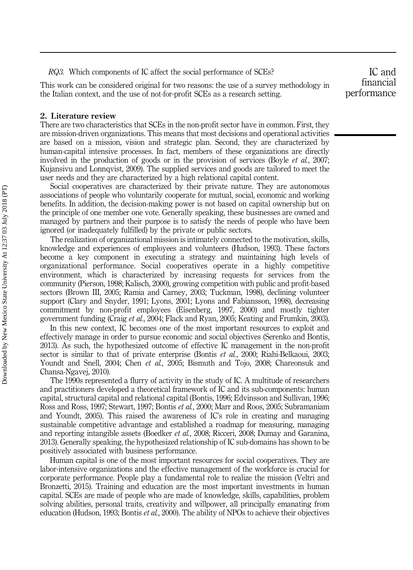RQ3. Which components of IC affect the social performance of SCEs?

This work can be considered original for two reasons: the use of a survey methodology in the Italian context, and the use of not-for-profit SCEs as a research setting.

IC and financial performance

#### 2. Literature review

There are two characteristics that SCEs in the non-profit sector have in common. First, they are mission-driven organizations. This means that most decisions and operational activities are based on a mission, vision and strategic plan. Second, they are characterized by human-capital intensive processes. In fact, members of these organizations are directly involved in the production of goods or in the provision of services (Boyle *et al.*, 2007; Kujansivu and Lonnqvist, 2009). The supplied services and goods are tailored to meet the user needs and they are characterized by a high relational capital content.

Social cooperatives are characterized by their private nature. They are autonomous associations of people who voluntarily cooperate for mutual, social, economic and working benefits. In addition, the decision-making power is not based on capital ownership but on the principle of one member one vote. Generally speaking, these businesses are owned and managed by partners and their purpose is to satisfy the needs of people who have been ignored (or inadequately fulfilled) by the private or public sectors.

The realization of organizational mission is intimately connected to the motivation, skills, knowledge and experiences of employees and volunteers (Hudson, 1993). These factors become a key component in executing a strategy and maintaining high levels of organizational performance. Social cooperatives operate in a highly competitive environment, which is characterized by increasing requests for services from the community (Pierson, 1998; Kalisch, 2000), growing competition with public and profit-based sectors (Brown III, 2005; Ramia and Carney, 2003; Tuckman, 1998), declining volunteer support (Clary and Snyder, 1991; Lyons, 2001; Lyons and Fabiansson, 1998), decreasing commitment by non-profit employees (Eisenberg, 1997, 2000) and mostly tighter government funding (Craig et al., 2004; Flack and Ryan, 2005; Keating and Frumkin, 2003).

In this new context, IC becomes one of the most important resources to exploit and effectively manage in order to pursue economic and social objectives (Serenko and Bontis, 2013). As such, the hypothesized outcome of effective IC management in the non-profit sector is similar to that of private enterprise (Bontis et al., 2000; Riahi-Belkaoui, 2003; Youndt and Snell, 2004; Chen *et al.*, 2005; Bismuth and Tojo, 2008; Chareonsuk and Chansa-Ngavej, 2010).

The 1990s represented a flurry of activity in the study of IC. A multitude of researchers and practitioners developed a theoretical framework of IC and its sub-components: human capital, structural capital and relational capital (Bontis, 1996; Edvinsson and Sullivan, 1996; Ross and Ross, 1997; Stewart, 1997; Bontis et al., 2000; Marr and Roos, 2005; Subramaniam and Youndt, 2005). This raised the awareness of IC's role in creating and managing sustainable competitive advantage and established a roadmap for measuring, managing and reporting intangible assets (Boedker et al., 2008; Ricceri, 2008; Dumay and Garanina, 2013). Generally speaking, the hypothesized relationship of IC sub-domains has shown to be positively associated with business performance.

Human capital is one of the most important resources for social cooperatives. They are labor-intensive organizations and the effective management of the workforce is crucial for corporate performance. People play a fundamental role to realize the mission (Veltri and Bronzetti, 2015). Training and education are the most important investments in human capital. SCEs are made of people who are made of knowledge, skills, capabilities, problem solving abilities, personal traits, creativity and willpower, all principally emanating from education (Hudson, 1993; Bontis et al., 2000). The ability of NPOs to achieve their objectives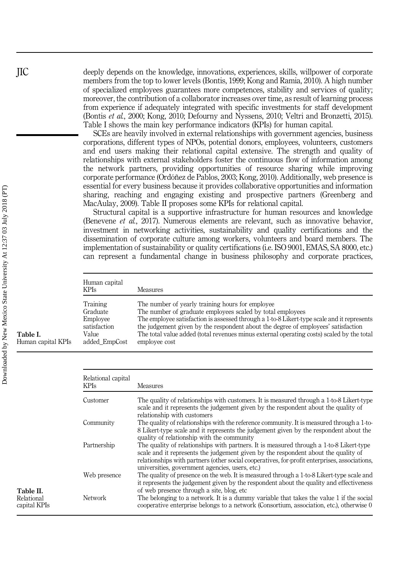deeply depends on the knowledge, innovations, experiences, skills, willpower of corporate members from the top to lower levels (Bontis, 1999; Kong and Ramia, 2010). A high number of specialized employees guarantees more competences, stability and services of quality; moreover, the contribution of a collaborator increases over time, as result of learning process from experience if adequately integrated with specific investments for staff development (Bontis et al., 2000; Kong, 2010; Defourny and Nyssens, 2010; Veltri and Bronzetti, 2015). Table I shows the main key performance indicators (KPIs) for human capital.

SCEs are heavily involved in external relationships with government agencies, business corporations, different types of NPOs, potential donors, employees, volunteers, customers and end users making their relational capital extensive. The strength and quality of relationships with external stakeholders foster the continuous flow of information among the network partners, providing opportunities of resource sharing while improving corporate performance (Ordóñez de Pablos, 2003; Kong, 2010). Additionally, web presence is essential for every business because it provides collaborative opportunities and information sharing, reaching and engaging existing and prospective partners (Greenberg and MacAulay, 2009). Table II proposes some KPIs for relational capital.

Structural capital is a supportive infrastructure for human resources and knowledge (Benevene et al., 2017). Numerous elements are relevant, such as innovative behavior, investment in networking activities, sustainability and quality certifications and the dissemination of corporate culture among workers, volunteers and board members. The implementation of sustainability or quality certifications (i.e. ISO 9001, EMAS, SA 8000, etc.) can represent a fundamental change in business philosophy and corporate practices,

| Human capital<br><b>KPIs</b> | Measures                                                                                   |
|------------------------------|--------------------------------------------------------------------------------------------|
| Training                     | The number of yearly training hours for employee                                           |
| Graduate                     | The number of graduate employees scaled by total employees                                 |
| Employee                     | The employee satisfaction is assessed through a 1-to-8 Likert-type scale and it represents |
| satisfaction                 | the judgement given by the respondent about the degree of employees' satisfaction          |
| Value                        | The total value added (total revenues minus external operating costs) scaled by the total  |
| added EmpCost                | employee cost                                                                              |

| Relational capital<br>KPIs. | <b>Measures</b>                                                                                                                                                                                                                                                                                                                   |
|-----------------------------|-----------------------------------------------------------------------------------------------------------------------------------------------------------------------------------------------------------------------------------------------------------------------------------------------------------------------------------|
| Customer                    | The quality of relationships with customers. It is measured through a 1-to-8 Likert-type<br>scale and it represents the judgement given by the respondent about the quality of<br>relationship with customers                                                                                                                     |
| Community                   | The quality of relationships with the reference community. It is measured through a 1-to-<br>8 Likert-type scale and it represents the judgement given by the respondent about the<br>quality of relationship with the community                                                                                                  |
| Partnership                 | The quality of relationships with partners. It is measured through a 1-to-8 Likert-type<br>scale and it represents the judgement given by the respondent about the quality of<br>relationships with partners (other social cooperatives, for-profit enterprises, associations,<br>universities, government agencies, users, etc.) |
| Web presence                | The quality of presence on the web. It is measured through a 1-to-8 Likert-type scale and<br>it represents the judgement given by the respondent about the quality and effectiveness<br>of web presence through a site, blog, etc.                                                                                                |
| <b>Network</b>              | The belonging to a network. It is a dummy variable that takes the value 1 if the social<br>cooperative enterprise belongs to a network (Consortium, association, etc.), otherwise 0                                                                                                                                               |

JIC

Table I.

Table II. Relational capital KPIs

Human capital KPIs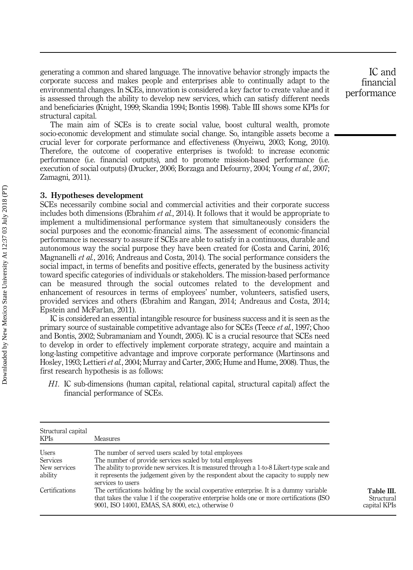generating a common and shared language. The innovative behavior strongly impacts the corporate success and makes people and enterprises able to continually adapt to the environmental changes. In SCEs, innovation is considered a key factor to create value and it is assessed through the ability to develop new services, which can satisfy different needs and beneficiaries (Knight, 1999; Skandia 1994; Bontis 1998). Table III shows some KPIs for structural capital.

The main aim of SCEs is to create social value, boost cultural wealth, promote socio-economic development and stimulate social change. So, intangible assets become a crucial lever for corporate performance and effectiveness (Onyeiwu, 2003; Kong, 2010). Therefore, the outcome of cooperative enterprises is twofold: to increase economic performance (i.e. financial outputs), and to promote mission-based performance (i.e. execution of social outputs) (Drucker, 2006; Borzaga and Defourny, 2004; Young et al., 2007; Zamagni, 2011).

#### 3. Hypotheses development

SCEs necessarily combine social and commercial activities and their corporate success includes both dimensions (Ebrahim *et al.*, 2014). It follows that it would be appropriate to implement a multidimensional performance system that simultaneously considers the social purposes and the economic-financial aims. The assessment of economic-financial performance is necessary to assure if SCEs are able to satisfy in a continuous, durable and autonomous way the social purpose they have been created for (Costa and Carini, 2016; Magnanelli et al., 2016; Andreaus and Costa, 2014). The social performance considers the social impact, in terms of benefits and positive effects, generated by the business activity toward specific categories of individuals or stakeholders. The mission-based performance can be measured through the social outcomes related to the development and enhancement of resources in terms of employees' number, volunteers, satisfied users, provided services and others (Ebrahim and Rangan, 2014; Andreaus and Costa, 2014; Epstein and McFarlan, 2011).

IC is considered an essential intangible resource for business success and it is seen as the primary source of sustainable competitive advantage also for SCEs (Teece et al., 1997; Choo and Bontis, 2002; Subramaniam and Youndt, 2005). IC is a crucial resource that SCEs need to develop in order to effectively implement corporate strategy, acquire and maintain a long-lasting competitive advantage and improve corporate performance (Martinsons and Hosley, 1993; Lettieri et al., 2004; Murray and Carter, 2005; Hume and Hume, 2008). Thus, the first research hypothesis is as follows:

H1. IC sub-dimensions (human capital, relational capital, structural capital) affect the financial performance of SCEs.

| Structural capital<br><b>KPIs</b> | <b>Measures</b>                                                                                                                                                                                                                              |
|-----------------------------------|----------------------------------------------------------------------------------------------------------------------------------------------------------------------------------------------------------------------------------------------|
| <b>Users</b>                      | The number of served users scaled by total employees                                                                                                                                                                                         |
| <b>Services</b>                   | The number of provide services scaled by total employees                                                                                                                                                                                     |
| New services<br>ability           | The ability to provide new services. It is measured through a 1-to-8 Likert-type scale and<br>it represents the judgement given by the respondent about the capacity to supply new<br>services to users                                      |
| Certifications                    | The certifications holding by the social cooperative enterprise. It is a dummy variable<br>that takes the value 1 if the cooperative enterprise holds one or more certifications (ISO)<br>9001, ISO 14001, EMAS, SA 8000, etc.), otherwise 0 |

IC and financial performance

> Table III. **Structural** capital KPIs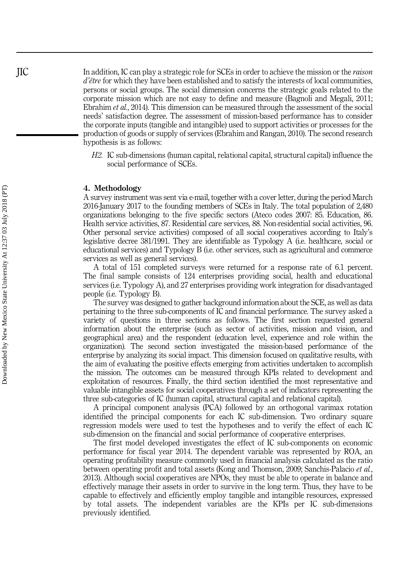In addition, IC can play a strategic role for SCEs in order to achieve the mission or the raison  $d\hat{\iota}$ etre for which they have been established and to satisfy the interests of local communities, persons or social groups. The social dimension concerns the strategic goals related to the corporate mission which are not easy to define and measure (Bagnoli and Megali, 2011; Ebrahim et al., 2014). This dimension can be measured through the assessment of the social needs' satisfaction degree. The assessment of mission-based performance has to consider the corporate inputs (tangible and intangible) used to support activities or processes for the production of goods or supply of services (Ebrahim and Rangan, 2010). The second research hypothesis is as follows:

H2. IC sub-dimensions (human capital, relational capital, structural capital) influence the social performance of SCEs.

#### 4. Methodology

A survey instrument was sent via e-mail, together with a cover letter, during the period March 2016-January 2017 to the founding members of SCEs in Italy. The total population of 2,480 organizations belonging to the five specific sectors (Ateco codes 2007: 85. Education, 86. Health service activities, 87. Residential care services, 88. Non-residential social activities, 96. Other personal service activities) composed of all social cooperatives according to Italy's legislative decree 381/1991. They are identifiable as Typology A (i.e. healthcare, social or educational services) and Typology B (i.e. other services, such as agricultural and commerce services as well as general services).

A total of 151 completed surveys were returned for a response rate of 6.1 percent. The final sample consists of 124 enterprises providing social, health and educational services (i.e. Typology A), and 27 enterprises providing work integration for disadvantaged people (i.e. Typology B).

The survey was designed to gather background information about the SCE, as well as data pertaining to the three sub-components of IC and financial performance. The survey asked a variety of questions in three sections as follows. The first section requested general information about the enterprise (such as sector of activities, mission and vision, and geographical area) and the respondent (education level, experience and role within the organization). The second section investigated the mission-based performance of the enterprise by analyzing its social impact. This dimension focused on qualitative results, with the aim of evaluating the positive effects emerging from activities undertaken to accomplish the mission. The outcomes can be measured through KPIs related to development and exploitation of resources. Finally, the third section identified the most representative and valuable intangible assets for social cooperatives through a set of indicators representing the three sub-categories of IC (human capital, structural capital and relational capital).

A principal component analysis (PCA) followed by an orthogonal varimax rotation identified the principal components for each IC sub-dimension. Two ordinary square regression models were used to test the hypotheses and to verify the effect of each IC sub-dimension on the financial and social performance of cooperative enterprises.

The first model developed investigates the effect of IC sub-components on economic performance for fiscal year 2014. The dependent variable was represented by ROA, an operating profitability measure commonly used in financial analysis calculated as the ratio between operating profit and total assets (Kong and Thomson, 2009; Sanchis-Palacio et al., 2013). Although social cooperatives are NPOs, they must be able to operate in balance and effectively manage their assets in order to survive in the long term. Thus, they have to be capable to effectively and efficiently employ tangible and intangible resources, expressed by total assets. The independent variables are the KPIs per IC sub-dimensions previously identified.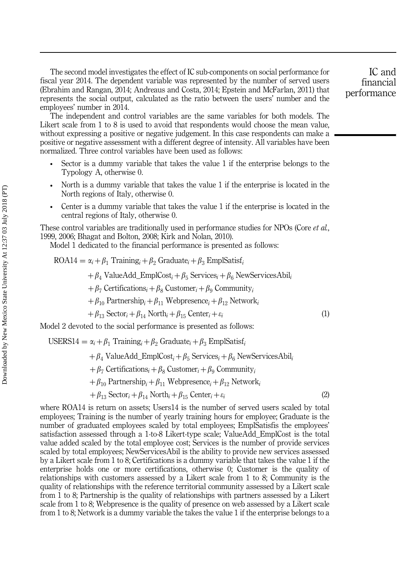The second model investigates the effect of IC sub-components on social performance for fiscal year 2014. The dependent variable was represented by the number of served users (Ebrahim and Rangan, 2014; Andreaus and Costa, 2014; Epstein and McFarlan, 2011) that represents the social output, calculated as the ratio between the users' number and the employees' number in 2014.

The independent and control variables are the same variables for both models. The Likert scale from 1 to 8 is used to avoid that respondents would choose the mean value, without expressing a positive or negative judgement. In this case respondents can make a positive or negative assessment with a different degree of intensity. All variables have been normalized. Three control variables have been used as follows:

- Sector is a dummy variable that takes the value 1 if the enterprise belongs to the Typology A, otherwise 0.
- North is a dummy variable that takes the value 1 if the enterprise is located in the North regions of Italy, otherwise 0.
- Center is a dummy variable that takes the value 1 if the enterprise is located in the central regions of Italy, otherwise 0.

These control variables are traditionally used in performance studies for NPOs (Core *et al.*, 1999, 2006; Bhagat and Bolton, 2008; Kirk and Nolan, 2010).

Model 1 dedicated to the financial performance is presented as follows:

 $ROA14 = \alpha_i + \beta_1$  Training<sub>i</sub> +  $\beta_2$  Graduate<sub>i</sub> +  $\beta_3$  EmplSatisf<sub>i</sub>

 $+\beta_4$  ValueAdd\_EmplCost<sub>i</sub> +  $\beta_5$  Services<sub>i</sub> +  $\beta_6$  NewServicesAbil<sub>i</sub>

 $+\beta_7$  Certifications<sub>i</sub> +  $\beta_8$  Customer<sub>i</sub> +  $\beta_9$  Community<sub>i</sub>

 $+\beta_{10}$  Partnership<sub>i</sub> +  $\beta_{11}$  Webpresence<sub>i</sub> +  $\beta_{12}$  Network<sub>i</sub>

 $+\beta_{13}$  Sector<sub>i</sub> +  $\beta_{14}$  North<sub>i</sub> +  $\beta_{15}$  Center<sub>i</sub> +  $\varepsilon_i$  (1)

Model 2 devoted to the social performance is presented as follows:

USERS14 =  $\alpha_i + \beta_1$  Training<sub>i</sub> +  $\beta_2$  Graduate<sub>i</sub> +  $\beta_3$  EmplSatisf<sub>i</sub>

 $+\beta_4$  ValueAdd\_EmplCost<sub>i</sub> +  $\beta_5$  Services<sub>i</sub> +  $\beta_6$  NewServicesAbil<sub>i</sub>

 $\beta_7$  Certifications<sub>i</sub> +  $\beta_8$  Customer<sub>i</sub> +  $\beta_9$  Community<sub>i</sub>

 $+\beta_{10}$  Partnership<sub>i</sub> +  $\beta_{11}$  Webpresence<sub>i</sub> +  $\beta_{12}$  Network<sub>i</sub>

$$
+\beta_{13} \text{ Sector}_i + \beta_{14} \text{North}_i + \beta_{15} \text{Center}_i + \varepsilon_i
$$
 (2)

where ROA14 is return on assets; Users14 is the number of served users scaled by total employees; Training is the number of yearly training hours for employee; Graduate is the number of graduated employees scaled by total employees; EmplSatisfis the employees' satisfaction assessed through a 1-to-8 Likert-type scale; ValueAdd\_EmplCost is the total value added scaled by the total employee cost; Services is the number of provide services scaled by total employees; NewServicesAbil is the ability to provide new services assessed by a Likert scale from 1 to 8; Certifications is a dummy variable that takes the value 1 if the enterprise holds one or more certifications, otherwise 0; Customer is the quality of relationships with customers assessed by a Likert scale from 1 to 8; Community is the quality of relationships with the reference territorial community assessed by a Likert scale from 1 to 8; Partnership is the quality of relationships with partners assessed by a Likert scale from 1 to 8; Webpresence is the quality of presence on web assessed by a Likert scale from 1 to 8; Network is a dummy variable the takes the value 1 if the enterprise belongs to a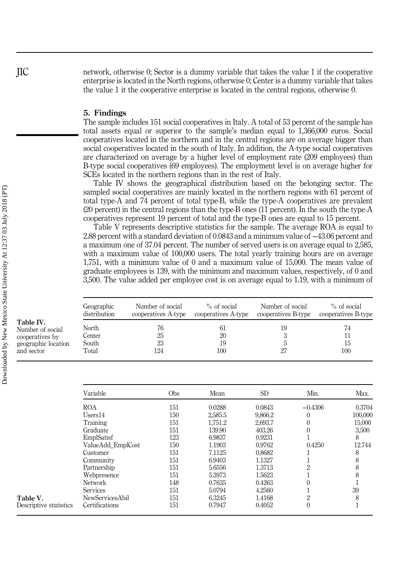network, otherwise 0; Sector is a dummy variable that takes the value 1 if the cooperative enterprise is located in the North regions, otherwise 0; Center is a dummy variable that takes the value 1 it the cooperative enterprise is located in the central regions, otherwise 0.

#### 5. Findings

The sample includes 151 social cooperatives in Italy. A total of 53 percent of the sample has total assets equal or superior to the sample's median equal to 1,366,000 euros. Social cooperatives located in the northern and in the central regions are on average bigger than social cooperatives located in the south of Italy. In addition, the A-type social cooperatives are characterized on average by a higher level of employment rate (209 employees) than B-type social cooperatives (69 employees). The employment level is on average higher for SCEs located in the northern regions than in the rest of Italy.

Table IV shows the geographical distribution based on the belonging sector. The sampled social cooperatives are mainly located in the northern regions with 61 percent of total type-A and 74 percent of total type-B, while the type-A cooperatives are prevalent (20 percent) in the central regions than the type-B ones (11 percent). In the south the type-A cooperatives represent 19 percent of total and the type-B ones are equal to 15 percent.

Table V represents descriptive statistics for the sample. The average ROA is equal to 2.88 percent with a standard deviation of 0.0843 and a minimum value of −43.06 percent and a maximum one of 37.04 percent. The number of served users is on average equal to 2,585, with a maximum value of 100,000 users. The total yearly training hours are on average 1,751, with a minimum value of 0 and a maximum value of 15,000. The mean value of graduate employees is 139, with the minimum and maximum values, respectively, of 0 and 3,500. The value added per employee cost is on average equal to 1.19, with a minimum of

|                                                                                       | Geographic                        | Number of social      | $%$ of social         | Number of social    | $%$ of social         |
|---------------------------------------------------------------------------------------|-----------------------------------|-----------------------|-----------------------|---------------------|-----------------------|
|                                                                                       | distribution                      | cooperatives A-type   | cooperatives A-type   | cooperatives B-type | cooperatives B-type   |
| Table IV.<br>Number of social<br>cooperatives by<br>geographic location<br>and sector | North<br>Center<br>South<br>Total | 76<br>25<br>23<br>124 | 61<br>20<br>19<br>100 | 19<br>27            | 74<br>11<br>15<br>100 |

|                        | Variable          | Obs | Mean    | <b>SD</b> | Min.      | Max.    |
|------------------------|-------------------|-----|---------|-----------|-----------|---------|
|                        | <b>ROA</b>        | 151 | 0.0288  | 0.0843    | $-0.4306$ | 0.3704  |
|                        | Users14           | 150 | 2,585.5 | 9.866.2   | 0         | 100,000 |
|                        | Training          | 151 | 1,751.2 | 2,693.7   |           | 15,000  |
|                        | Graduate          | 151 | 139.90  | 403.26    |           | 3,500   |
|                        | EmplSatisf        | 123 | 6.9837  | 0.9231    |           | 8       |
|                        | ValueAdd EmplCost | 150 | 1.1903  | 0.9762    | 0.4250    | 12.744  |
|                        | Customer          | 151 | 7.1125  | 0.8682    |           | 8       |
|                        | Community         | 151 | 6.9403  | 1.1327    |           | 8       |
|                        | Partnership       | 151 | 5.6556  | 1.3713    | 2         |         |
|                        | Webpresence       | 151 | 5.3973  | 1.5623    |           |         |
|                        | <b>Network</b>    | 148 | 0.7635  | 0.4263    |           |         |
|                        | Services          | 151 | 5.0794  | 4.2560    |           | 39      |
| Table V.               | NewServicesAbil   | 151 | 6.3245  | 1.4168    | 2         | 8       |
| Descriptive statistics | Certifications    | 151 | 0.7947  | 0.4052    | 0         |         |
|                        |                   |     |         |           |           |         |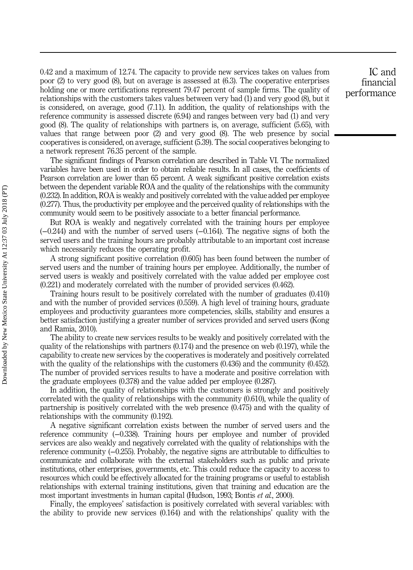0.42 and a maximum of 12.74. The capacity to provide new services takes on values from poor (2) to very good (8), but on average is assessed at (6.3). The cooperative enterprises holding one or more certifications represent 79.47 percent of sample firms. The quality of relationships with the customers takes values between very bad (1) and very good (8), but it is considered, on average, good (7.11). In addition, the quality of relationships with the reference community is assessed discrete (6.94) and ranges between very bad (1) and very good (8). The quality of relationships with partners is, on average, sufficient (5.65), with values that range between poor (2) and very good (8). The web presence by social cooperatives is considered, on average, sufficient (5.39). The social cooperatives belonging to a network represent 76.35 percent of the sample.

The significant findings of Pearson correlation are described in Table VI. The normalized variables have been used in order to obtain reliable results. In all cases, the coefficients of Pearson correlation are lower than 65 percent. A weak significant positive correlation exists between the dependent variable ROA and the quality of the relationships with the community (0.232). In addition, ROA is weakly and positively correlated with the value added per employee (0.277). Thus, the productivity per employee and the perceived quality of relationships with the community would seem to be positively associate to a better financial performance.

But ROA is weakly and negatively correlated with the training hours per employee (−0.244) and with the number of served users (−0.164). The negative signs of both the served users and the training hours are probably attributable to an important cost increase which necessarily reduces the operating profit.

A strong significant positive correlation (0.605) has been found between the number of served users and the number of training hours per employee. Additionally, the number of served users is weakly and positively correlated with the value added per employee cost (0.221) and moderately correlated with the number of provided services (0.462).

Training hours result to be positively correlated with the number of graduates (0.410) and with the number of provided services (0.559). A high level of training hours, graduate employees and productivity guarantees more competencies, skills, stability and ensures a better satisfaction justifying a greater number of services provided and served users (Kong and Ramia, 2010).

The ability to create new services results to be weakly and positively correlated with the quality of the relationships with partners (0.174) and the presence on web (0.197), while the capability to create new services by the cooperatives is moderately and positively correlated with the quality of the relationships with the customers (0.436) and the community (0.452). The number of provided services results to have a moderate and positive correlation with the graduate employees (0.378) and the value added per employee (0.287).

In addition, the quality of relationships with the customers is strongly and positively correlated with the quality of relationships with the community (0.610), while the quality of partnership is positively correlated with the web presence (0.475) and with the quality of relationships with the community (0.192).

A negative significant correlation exists between the number of served users and the reference community (−0.338). Training hours per employee and number of provided services are also weakly and negatively correlated with the quality of relationships with the reference community (−0.255). Probably, the negative signs are attributable to difficulties to communicate and collaborate with the external stakeholders such as public and private institutions, other enterprises, governments, etc. This could reduce the capacity to access to resources which could be effectively allocated for the training programs or useful to establish relationships with external training institutions, given that training and education are the most important investments in human capital (Hudson, 1993; Bontis et al., 2000).

Finally, the employees' satisfaction is positively correlated with several variables: with the ability to provide new services (0.164) and with the relationships' quality with the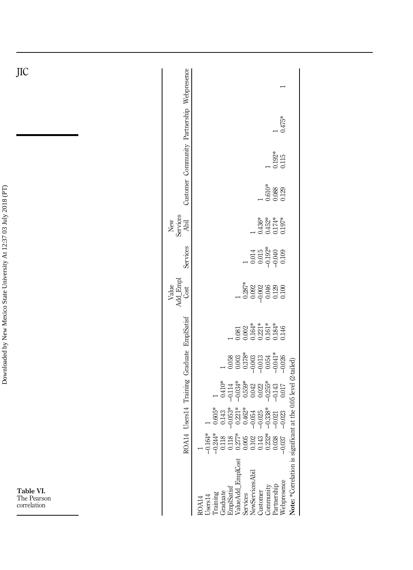| Table VI.<br>The Pearson<br>correlation |  |  |
|-----------------------------------------|--|--|
|                                         |  |  |
|                                         |  |  |

|                                                                                                                                                                                                                | ROAI |                                                                                                         | 4 Users14 Training Graduate EmplSatist |                                                                                                                     | Value<br>Add_Empl<br>Cost                                                                   | Services                                                                          | New<br>Services<br>Abil         |                          |                 | Customer Community Partnership Webpresence |  |
|----------------------------------------------------------------------------------------------------------------------------------------------------------------------------------------------------------------|------|---------------------------------------------------------------------------------------------------------|----------------------------------------|---------------------------------------------------------------------------------------------------------------------|---------------------------------------------------------------------------------------------|-----------------------------------------------------------------------------------|---------------------------------|--------------------------|-----------------|--------------------------------------------|--|
| Note: *Correlation is signifi<br>/alueAdd_EmplCost<br><b>JewServicesAbil</b><br>Vebpresence<br>Partnership<br>ommunity.<br>ImplSatisf<br>raduate<br>Customer<br>services<br>raining<br>Jsers14<br><b>ROA14</b> | 803  | cant at the 0.05 level (2-tailed)<br>- 10:41%<br>- 10:53% 20:56<br>- 10:56:56:56:56<br>- 10:56:56:56:56 |                                        | $\begin{array}{l} 0.081 \\ 0.002 \\ 0.164^{*} \\ 0.221^{*} \\ 0.161^{*} \\ 0.184^{*} \\ 0.146 \\ 0.146 \end{array}$ | $\begin{array}{c} 1 \\ 0.287^* \\ 0.092 \\ 0.002 \\ 0.046 \\ 0.129 \\ 0.100 \\ \end{array}$ | $\begin{array}{c} 1 \\ 0.014 \\ 0.015 \\ 0.0192 \\ 0.040 \\ 0.000 \\ \end{array}$ | 1<br>0.452*<br>0.157*<br>0.197* | 0.610*<br>0.088<br>0.129 | J.192*<br>0.115 | $0.475*$                                   |  |
|                                                                                                                                                                                                                |      |                                                                                                         |                                        |                                                                                                                     |                                                                                             |                                                                                   |                                 |                          |                 |                                            |  |

JIC

Downloaded by New Mexico State University At 12:37 03 July 2018 (PT) Downloaded by New Mexico State University At 12:37 03 July 2018 (PT)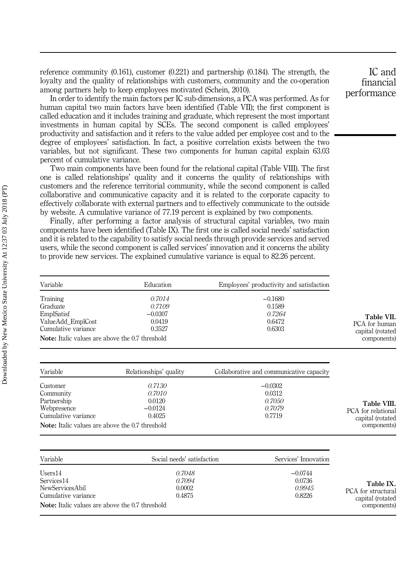reference community (0.161), customer (0.221) and partnership (0.184). The strength, the loyalty and the quality of relationships with customers, community and the co-operation among partners help to keep employees motivated (Schein, 2010).

In order to identify the main factors per IC sub-dimensions, a PCA was performed. As for human capital two main factors have been identified (Table VII); the first component is called education and it includes training and graduate, which represent the most important investments in human capital by SCEs. The second component is called employees' productivity and satisfaction and it refers to the value added per employee cost and to the degree of employees' satisfaction. In fact, a positive correlation exists between the two variables, but not significant. These two components for human capital explain 63.03 percent of cumulative variance.

Two main components have been found for the relational capital (Table VIII). The first one is called relationships' quality and it concerns the quality of relationships with customers and the reference territorial community, while the second component is called collaborative and communicative capacity and it is related to the corporate capacity to effectively collaborate with external partners and to effectively communicate to the outside by website. A cumulative variance of 77.19 percent is explained by two components.

Finally, after performing a factor analysis of structural capital variables, two main components have been identified (Table IX). The first one is called social needs' satisfaction and it is related to the capability to satisfy social needs through provide services and served users, while the second component is called services' innovation and it concerns the ability to provide new services. The explained cumulative variance is equal to 82.26 percent.

| Variable                                               | Education | Employees' productivity and satisfaction |
|--------------------------------------------------------|-----------|------------------------------------------|
| Training                                               | 0.7014    | $-0.1680$                                |
| Graduate                                               | 0.7109    | 0.1589                                   |
| EmplSatisf                                             | $-0.0307$ | 0.7264                                   |
| ValueAdd_EmplCost                                      | 0.0419    | 0.6472                                   |
| Cumulative variance                                    | 0.3527    | 0.6303                                   |
| <b>Note:</b> Italic values are above the 0.7 threshold |           |                                          |

| Variable                                               | Relationships' quality | Collaborative and communicative capacity |
|--------------------------------------------------------|------------------------|------------------------------------------|
| Customer                                               | 0.7130                 | $-0.0302$                                |
| Community                                              | 0.7010                 | 0.0312                                   |
| Partnership                                            | 0.0120                 | 0.7050                                   |
| Webpresence                                            | $-0.0124$              | 0.7079                                   |
| Cumulative variance                                    | 0.4025                 | 0.7719                                   |
| <b>Note:</b> Italic values are above the 0.7 threshold |                        |                                          |

| Variable                                                        | Social needs' satisfaction           | Services' Innovation                    |                                                     |
|-----------------------------------------------------------------|--------------------------------------|-----------------------------------------|-----------------------------------------------------|
| Users14<br>Services14<br>NewServicesAbil<br>Cumulative variance | 0.7048<br>0.7094<br>0.0002<br>0.4875 | $-0.0744$<br>0.0736<br>0.9945<br>0.8226 | Table IX.<br>PCA for structural<br>capital (rotated |
| <b>Note:</b> Italic values are above the 0.7 threshold          |                                      |                                         | components)                                         |

Table VII. PCA for human capital (rotated components)

Table VIII. PCA for relational capital (rotated components)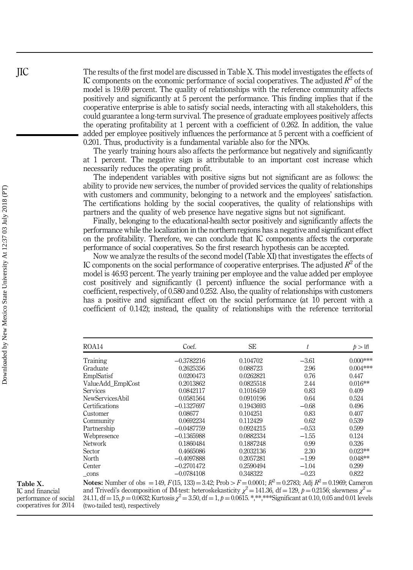The results of the first model are discussed in Table X. This model investigates the effects of IC components on the economic performance of social cooperatives. The adjusted  $R^2$  of the model is 19.69 percent. The quality of relationships with the reference community affects positively and significantly at 5 percent the performance. This finding implies that if the cooperative enterprise is able to satisfy social needs, interacting with all stakeholders, this could guarantee a long-term survival. The presence of graduate employees positively affects the operating profitability at 1 percent with a coefficient of 0.262. In addition, the value added per employee positively influences the performance at 5 percent with a coefficient of 0.201. Thus, productivity is a fundamental variable also for the NPOs.

The yearly training hours also affects the performance but negatively and significantly at 1 percent. The negative sign is attributable to an important cost increase which necessarily reduces the operating profit.

The independent variables with positive signs but not significant are as follows: the ability to provide new services, the number of provided services the quality of relationships with customers and community, belonging to a network and the employees' satisfaction. The certifications holding by the social cooperatives, the quality of relationships with partners and the quality of web presence have negative signs but not significant.

Finally, belonging to the educational-health sector positively and significantly affects the performance while the localization in the northern regions has a negative and significant effect on the profitability. Therefore, we can conclude that IC components affects the corporate performance of social cooperatives. So the first research hypothesis can be accepted.

Now we analyze the results of the second model (Table XI) that investigates the effects of IC components on the social performance of cooperative enterprises. The adjusted  $R^2$  of the model is 46.93 percent. The yearly training per employee and the value added per employee cost positively and significantly (1 percent) influence the social performance with a coefficient, respectively, of 0.580 and 0.252. Also, the quality of relationships with customers has a positive and significant effect on the social performance (at 10 percent with a coefficient of 0.142); instead, the quality of relationships with the reference territorial

| ROA14             | Coef.        | SE        | t       | p >  t     |
|-------------------|--------------|-----------|---------|------------|
| Training          | $-0.3782216$ | 0.104702  | $-3.61$ | $0.000***$ |
| Graduate          | 0.2625356    | 0.088723  | 2.96    | $0.004***$ |
| EmplSatisf        | 0.0200473    | 0.0262821 | 0.76    | 0.447      |
| ValueAdd EmplCost | 0.2013862    | 0.0825518 | 2.44    | $0.016**$  |
| <b>Services</b>   | 0.0842117    | 0.1016459 | 0.83    | 0.409      |
| NewServicesAbil   | 0.0581564    | 0.0910196 | 0.64    | 0.524      |
| Certifications    | $-0.1327697$ | 0.1943693 | $-0.68$ | 0.496      |
| Customer          | 0.08677      | 0.104251  | 0.83    | 0.407      |
| Community         | 0.0692234    | 0.112429  | 0.62    | 0.539      |
| Partnership       | $-0.0487759$ | 0.0924215 | $-0.53$ | 0.599      |
| Webpresence       | $-0.1365988$ | 0.0882334 | $-1.55$ | 0.124      |
| Network           | 0.1860484    | 0.1887248 | 0.99    | 0.326      |
| Sector            | 0.4665086    | 0.2032136 | 2.30    | $0.023**$  |
| North             | $-0.4097888$ | 0.2057281 | $-1.99$ | $0.048**$  |
| Center            | $-0.2701472$ | 0.2590494 | $-1.04$ | 0.299      |
| cons              | $-0.0784108$ | 0.348322  | $-0.23$ | 0.822      |

Table X. IC and financial

JIC

**Notes:** Number of obs = 149,  $F(15, 133) = 3.42$ ; Prob >  $F = 0.0001$ ;  $R^2 = 0.2783$ ; Adj  $R^2 = 0.1969$ ; Cameron and Trivedi's decomposition of IM-test: heteroskekasticity  $\chi^2 = 141.36$ , df = 129, p = 0.2156; skewness  $\chi^2 = 241.36$ 24.11, df = 15, p = 0.0632; Kurtosis  $\chi^2$  = 3.50, df = 1, p = 0.0615. \*,\*\*,\*\*\*Significant at 0.10, 0.05 and 0.01 levels (two-tailed test), respectively performance of social cooperatives for 2014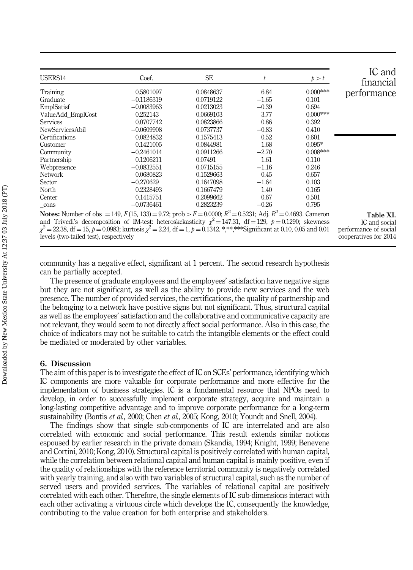| USERS14                                                                                                                                                                                                                                                                                                                                                                                                                                  | Coef.        | <b>SE</b> | t       | p > t       | IC and<br>financial                                                          |
|------------------------------------------------------------------------------------------------------------------------------------------------------------------------------------------------------------------------------------------------------------------------------------------------------------------------------------------------------------------------------------------------------------------------------------------|--------------|-----------|---------|-------------|------------------------------------------------------------------------------|
| Training                                                                                                                                                                                                                                                                                                                                                                                                                                 | 0.5801097    | 0.0848637 | 6.84    | $0.000$ *** | performance                                                                  |
| Graduate                                                                                                                                                                                                                                                                                                                                                                                                                                 | $-0.1186319$ | 0.0719122 | $-1.65$ | 0.101       |                                                                              |
| EmplSatisf                                                                                                                                                                                                                                                                                                                                                                                                                               | $-0.0083963$ | 0.0213023 | $-0.39$ | 0.694       |                                                                              |
| ValueAdd EmplCost                                                                                                                                                                                                                                                                                                                                                                                                                        | 0.252143     | 0.0669103 | 3.77    | $0.000$ *** |                                                                              |
| <b>Services</b>                                                                                                                                                                                                                                                                                                                                                                                                                          | 0.0707742    | 0.0823866 | 0.86    | 0.392       |                                                                              |
| NewServicesAbil                                                                                                                                                                                                                                                                                                                                                                                                                          | $-0.0609908$ | 0.0737737 | $-0.83$ | 0.410       |                                                                              |
| Certifications                                                                                                                                                                                                                                                                                                                                                                                                                           | 0.0824832    | 0.1575413 | 0.52    | 0.601       |                                                                              |
| Customer                                                                                                                                                                                                                                                                                                                                                                                                                                 | 0.1421005    | 0.0844981 | 1.68    | $0.095*$    |                                                                              |
| Community                                                                                                                                                                                                                                                                                                                                                                                                                                | $-0.2461014$ | 0.0911266 | $-2.70$ | $0.008***$  |                                                                              |
| Partnership                                                                                                                                                                                                                                                                                                                                                                                                                              | 0.1206211    | 0.07491   | 1.61    | 0.110       |                                                                              |
| Webpresence                                                                                                                                                                                                                                                                                                                                                                                                                              | $-0.0832551$ | 0.0715155 | $-1.16$ | 0.246       |                                                                              |
| <b>Network</b>                                                                                                                                                                                                                                                                                                                                                                                                                           | 0.0680823    | 0.1529663 | 0.45    | 0.657       |                                                                              |
| Sector                                                                                                                                                                                                                                                                                                                                                                                                                                   | $-0.270629$  | 0.1647098 | $-1.64$ | 0.103       |                                                                              |
| North                                                                                                                                                                                                                                                                                                                                                                                                                                    | 0.2328493    | 0.1667479 | 1.40    | 0.165       |                                                                              |
| Center                                                                                                                                                                                                                                                                                                                                                                                                                                   | 0.1415751    | 0.2099662 | 0.67    | 0.501       |                                                                              |
| $_{\rm cons}$                                                                                                                                                                                                                                                                                                                                                                                                                            | $-0.0736461$ | 0.2823239 | $-0.26$ | 0.795       |                                                                              |
| <b>Notes:</b> Number of obs = 149, $F(15, 133) = 9.72$ ; prob > $F = 0.0000$ ; $R^2 = 0.5231$ ; Adj. $R^2 = 0.4693$ . Cameron<br>and Trivedi's decomposition of IM-test: heteroskekasticity $\chi^2 = 147.31$ , df = 129, $p = 0.1290$ ; skewness<br>$\gamma^2 = 22.38$ , df = 15, $p = 0.0983$ ; kurtosis $\gamma^2 = 2.24$ , df = 1, $p = 0.1342$ . ******Significant at 0.10, 0.05 and 0.01<br>levels (two-tailed test), respectively |              |           |         |             | Table XI.<br>IC and social<br>performance of social<br>cooperatives for 2014 |

community has a negative effect, significant at 1 percent. The second research hypothesis can be partially accepted.

The presence of graduate employees and the employees' satisfaction have negative signs but they are not significant, as well as the ability to provide new services and the web presence. The number of provided services, the certifications, the quality of partnership and the belonging to a network have positive signs but not significant. Thus, structural capital as well as the employees' satisfaction and the collaborative and communicative capacity are not relevant, they would seem to not directly affect social performance. Also in this case, the choice of indicators may not be suitable to catch the intangible elements or the effect could be mediated or moderated by other variables.

#### 6. Discussion

The aim of this paper is to investigate the effect of IC on SCEs' performance, identifying which IC components are more valuable for corporate performance and more effective for the implementation of business strategies. IC is a fundamental resource that NPOs need to develop, in order to successfully implement corporate strategy, acquire and maintain a long-lasting competitive advantage and to improve corporate performance for a long-term sustainability (Bontis *et al.*, 2000; Chen *et al.*, 2005; Kong, 2010; Youndt and Snell, 2004).

The findings show that single sub-components of IC are interrelated and are also correlated with economic and social performance. This result extends similar notions espoused by earlier research in the private domain (Skandia, 1994; Knight, 1999; Benevene and Cortini, 2010; Kong, 2010). Structural capital is positively correlated with human capital, while the correlation between relational capital and human capital is mainly positive, even if the quality of relationships with the reference territorial community is negatively correlated with yearly training, and also with two variables of structural capital, such as the number of served users and provided services. The variables of relational capital are positively correlated with each other. Therefore, the single elements of IC sub-dimensions interact with each other activating a virtuous circle which develops the IC, consequently the knowledge, contributing to the value creation for both enterprise and stakeholders.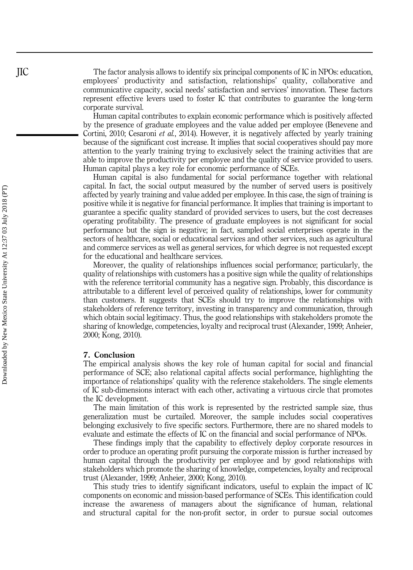The factor analysis allows to identify six principal components of IC in NPOs: education, employees' productivity and satisfaction, relationships' quality, collaborative and communicative capacity, social needs' satisfaction and services' innovation. These factors represent effective levers used to foster IC that contributes to guarantee the long-term corporate survival.

Human capital contributes to explain economic performance which is positively affected by the presence of graduate employees and the value added per employee (Benevene and Cortini, 2010; Cesaroni *et al.*, 2014). However, it is negatively affected by yearly training because of the significant cost increase. It implies that social cooperatives should pay more attention to the yearly training trying to exclusively select the training activities that are able to improve the productivity per employee and the quality of service provided to users. Human capital plays a key role for economic performance of SCEs.

Human capital is also fundamental for social performance together with relational capital. In fact, the social output measured by the number of served users is positively affected by yearly training and value added per employee. In this case, the sign of training is positive while it is negative for financial performance. It implies that training is important to guarantee a specific quality standard of provided services to users, but the cost decreases operating profitability. The presence of graduate employees is not significant for social performance but the sign is negative; in fact, sampled social enterprises operate in the sectors of healthcare, social or educational services and other services, such as agricultural and commerce services as well as general services, for which degree is not requested except for the educational and healthcare services.

Moreover, the quality of relationships influences social performance; particularly, the quality of relationships with customers has a positive sign while the quality of relationships with the reference territorial community has a negative sign. Probably, this discordance is attributable to a different level of perceived quality of relationships, lower for community than customers. It suggests that SCEs should try to improve the relationships with stakeholders of reference territory, investing in transparency and communication, through which obtain social legitimacy. Thus, the good relationships with stakeholders promote the sharing of knowledge, competencies, loyalty and reciprocal trust (Alexander, 1999; Anheier, 2000; Kong, 2010).

#### 7. Conclusion

The empirical analysis shows the key role of human capital for social and financial performance of SCE; also relational capital affects social performance, highlighting the importance of relationships' quality with the reference stakeholders. The single elements of IC sub-dimensions interact with each other, activating a virtuous circle that promotes the IC development.

The main limitation of this work is represented by the restricted sample size, thus generalization must be curtailed. Moreover, the sample includes social cooperatives belonging exclusively to five specific sectors. Furthermore, there are no shared models to evaluate and estimate the effects of IC on the financial and social performance of NPOs.

These findings imply that the capability to effectively deploy corporate resources in order to produce an operating profit pursuing the corporate mission is further increased by human capital through the productivity per employee and by good relationships with stakeholders which promote the sharing of knowledge, competencies, loyalty and reciprocal trust (Alexander, 1999; Anheier, 2000; Kong, 2010).

This study tries to identify significant indicators, useful to explain the impact of IC components on economic and mission-based performance of SCEs. This identification could increase the awareness of managers about the significance of human, relational and structural capital for the non-profit sector, in order to pursue social outcomes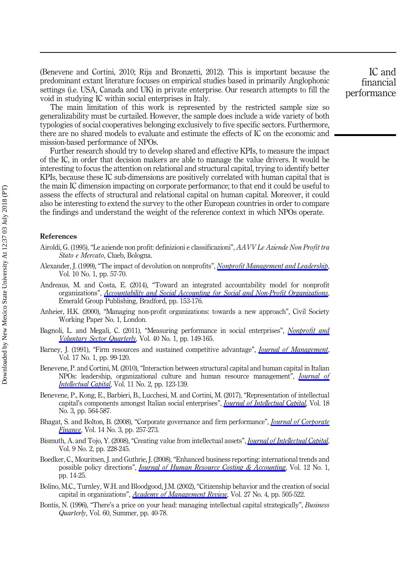(Benevene and Cortini, 2010; Rija and Bronzetti, 2012). This is important because the predominant extant literature focuses on empirical studies based in primarily Anglophonic settings (i.e. USA, Canada and UK) in private enterprise. Our research attempts to fill the void in studying IC within social enterprises in Italy.

The main limitation of this work is represented by the restricted sample size so generalizability must be curtailed. However, the sample does include a wide variety of both typologies of social cooperatives belonging exclusively to five specific sectors. Furthermore, there are no shared models to evaluate and estimate the effects of IC on the economic and mission-based performance of NPOs.

Further research should try to develop shared and effective KPIs, to measure the impact of the IC, in order that decision makers are able to manage the value drivers. It would be interesting to focus the attention on relational and structural capital, trying to identify better KPIs, because these IC sub-dimensions are positively correlated with human capital that is the main IC dimension impacting on corporate performance; to that end it could be useful to assess the effects of structural and relational capital on human capital. Moreover, it could also be interesting to extend the survey to the other European countries in order to compare the findings and understand the weight of the reference context in which NPOs operate.

#### References

- Airoldi, G. (1995), "Le aziende non profit: definizioni e classificazioni", AAVV Le Aziende Non Profit tra Stato e Mercato, Clueb, Bologna.
- Alexander, J. (1999), "The impact of devolution on nonprofits", [Nonprofit Management and Leadership](https://www.emeraldinsight.com/action/showLinks?doi=10.1108%2FJIC-03-2017-0049&crossref=10.1002%2Fnml.10105&citationId=p_2), Vol. 10 No. 1, pp. 57-70.
- Andreaus, M. and Costa, E. (2014), "Toward an integrated accountability model for nonprofit organizations", [Accountability and Social Accounting for Social and Non-Profit Organizations](https://www.emeraldinsight.com/action/showLinks?doi=10.1108%2FJIC-03-2017-0049&system=10.1108%2FS1041-706020140000017006&citationId=p_3), Emerald Group Publishing, Bradford, pp. 153-176.
- Anheier, H.K. (2000), "Managing non-profit organizations: towards a new approach", Civil Society Working Paper No. 1, London.
- Bagnoli, L. and Megali, C. (2011), "Measuring performance in social enterprises", [Nonprofit and](https://www.emeraldinsight.com/action/showLinks?doi=10.1108%2FJIC-03-2017-0049&crossref=10.1177%2F0899764009351111&isi=000285869100007&citationId=p_5) [Voluntary Sector Quarterly](https://www.emeraldinsight.com/action/showLinks?doi=10.1108%2FJIC-03-2017-0049&crossref=10.1177%2F0899764009351111&isi=000285869100007&citationId=p_5), Vol. 40 No. 1, pp. 149-165.
- Barney, J. (1991), "Firm resources and sustained competitive advantage", *[Journal of Management](https://www.emeraldinsight.com/action/showLinks?doi=10.1108%2FJIC-03-2017-0049&crossref=10.1177%2F014920639101700108&isi=A1991FE14500007&citationId=p_6)*, Vol. 17 No. 1, pp. 99-120.
- Benevene, P. and Cortini, M. (2010), "Interaction between structural capital and human capital in Italian NPOs: leadership, organizational culture and human resource management", *[Journal of](https://www.emeraldinsight.com/action/showLinks?doi=10.1108%2FJIC-03-2017-0049&system=10.1108%2F14691931011039642&citationId=p_7) [Intellectual Capital](https://www.emeraldinsight.com/action/showLinks?doi=10.1108%2FJIC-03-2017-0049&system=10.1108%2F14691931011039642&citationId=p_7)*, Vol. 11 No. 2, pp. 123-139.
- Benevene, P., Kong, E., Barbieri, B., Lucchesi, M. and Cortini, M. (2017), "Representation of intellectual capital's components amongst Italian social enterprises", *[Journal of Intellectual Capital](https://www.emeraldinsight.com/action/showLinks?doi=10.1108%2FJIC-03-2017-0049&system=10.1108%2FJIC-12-2016-0127&isi=000404820000006&citationId=p_8)*, Vol. 18 No. 3, pp. 564-587.
- Bhagat, S. and Bolton, B. (2008), "Corporate governance and firm performance", *[Journal of Corporate](https://www.emeraldinsight.com/action/showLinks?doi=10.1108%2FJIC-03-2017-0049&crossref=10.1016%2Fj.jcorpfin.2008.03.006&isi=000257460300007&citationId=p_9) [Finance](https://www.emeraldinsight.com/action/showLinks?doi=10.1108%2FJIC-03-2017-0049&crossref=10.1016%2Fj.jcorpfin.2008.03.006&isi=000257460300007&citationId=p_9)*, Vol. 14 No. 3, pp. 257-273.
- Bismuth, A. and Tojo, Y. (2008), "Creating value from intellectual assets", *[Journal of Intellectual Capital](https://www.emeraldinsight.com/action/showLinks?doi=10.1108%2FJIC-03-2017-0049&system=10.1108%2F14691930810870319&citationId=p_10)*, Vol. 9 No. 2, pp. 228-245.
- Boedker, C., Mouritsen, J. and Guthrie, J. (2008), "Enhanced business reporting: international trends and possible policy directions", *[Journal of Human Resource Costing & Accounting](https://www.emeraldinsight.com/action/showLinks?doi=10.1108%2FJIC-03-2017-0049&system=10.1108%2F14013380810872734&citationId=p_11)*, Vol. 12 No. 1, pp. 14-25.
- Bolino, M.C., Turnley, W.H. and Bloodgood, J.M. (2002), "Citizenship behavior and the creation of social capital in organizations", *[Academy of Management Review](https://www.emeraldinsight.com/action/showLinks?doi=10.1108%2FJIC-03-2017-0049&crossref=10.5465%2Famr.2002.7566023&isi=000178546600004&citationId=p_12)*, Vol. 27 No. 4, pp. 505-522.
- Bontis, N. (1996), "There's a price on your head: managing intellectual capital strategically", *Business* Quarterly, Vol. 60, Summer, pp. 40-78.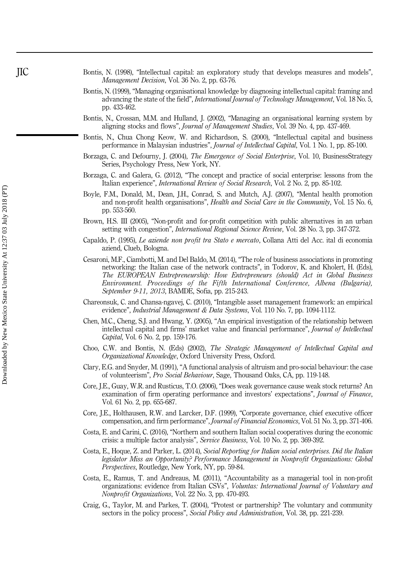- Bontis, N. (1998), "Intellectual capital: an exploratory study that develops measures and models", Management Decision, Vol. 36 No. 2, pp. 63-76.
- Bontis, N. (1999), "Managing organisational knowledge by diagnosing intellectual capital: framing and advancing the state of the field", International Journal of Technology Management, Vol. 18 No. 5, pp. 433-462.
- Bontis, N., Crossan, M.M. and Hulland, J. (2002), "Managing an organisational learning system by aligning stocks and flows", Journal of Management Studies, Vol. 39 No. 4, pp. 437-469.
- Bontis, N., Chua Chong Keow, W. and Richardson, S. (2000), "Intellectual capital and business performance in Malaysian industries", Journal of Intellectual Capital, Vol. 1 No. 1, pp. 85-100.
- Borzaga, C. and Defourny, J. (2004), *The Emergence of Social Enterprise*, Vol. 10, BusinessStrategy Series, Psychology Press, New York, NY.
- Borzaga, C. and Galera, G. (2012), "The concept and practice of social enterprise: lessons from the Italian experience", International Review of Social Research, Vol. 2 No. 2, pp. 85-102.
- Boyle, F.M., Donald, M., Dean, J.H., Conrad, S. and Mutch, A.J. (2007), "Mental health promotion and non-profit health organisations", *Health and Social Care in the Community*, Vol. 15 No. 6, pp. 553-560.
- Brown, H.S. III (2005), "Non-profit and for-profit competition with public alternatives in an urban setting with congestion", International Regional Science Review, Vol. 28 No. 3, pp. 347-372.
- Capaldo, P. (1995), Le aziende non profit tra Stato e mercato, Collana Atti del Acc. ital di economia aziend, Clueb, Bologna.
- Cesaroni, M.F., Ciambotti, M. and Del Baldo, M. (2014), "The role of business associations in promoting networking: the Italian case of the network contracts", in Todorov, K. and Kholert, H. (Eds), The EUROPEAN Entrepreneurship: How Entrepreneurs (should) Act in Global Business Environment. Proceedings of the Fifth International Conference, Albena (Bulgaria), September 9-11, 2013, BAMDE, Sofia, pp. 215-243.
- Chareonsuk, C. and Chansa-ngavej, C. (2010), "Intangible asset management framework: an empirical evidence", Industrial Management & Data Systems, Vol. 110 No. 7, pp. 1094-1112.
- Chen, M.C., Cheng, S.J. and Hwang, Y. (2005), "An empirical investigation of the relationship between intellectual capital and firms' market value and financial performance", Journal of Intellectual Capital, Vol. 6 No. 2, pp. 159-176.
- Choo, C.W. and Bontis, N. (Eds) (2002), The Strategic Management of Intellectual Capital and Organizational Knowledge, Oxford University Press, Oxford.
- Clary, E.G. and Snyder, M. (1991), "A functional analysis of altruism and pro-social behaviour: the case of volunteerism", Pro Social Behaviour, Sage, Thousand Oaks, CA, pp. 119-148.
- Core, J.E., Guay, W.R. and Rusticus, T.O. (2006), "Does weak governance cause weak stock returns? An examination of firm operating performance and investors' expectations", *Journal of Finance*, Vol. 61 No. 2, pp. 655-687.
- Core, J.E., Holthausen, R.W. and Larcker, D.F. (1999), "Corporate governance, chief executive officer compensation, and firm performance", Journal of Financial Economics, Vol. 51 No. 3, pp. 371-406.
- Costa, E. and Carini, C. (2016), "Northern and southern Italian social cooperatives during the economic crisis: a multiple factor analysis", Service Business, Vol. 10 No. 2, pp. 369-392.
- Costa, E., Hoque, Z. and Parker, L. (2014), Social Reporting for Italian social enterprises. Did the Italian legislator Miss an Opportunity? Performance Management in Nonprofit Organizations: Global Perspectives, Routledge, New York, NY, pp. 59-84.
- Costa, E., Ramus, T. and Andreaus, M. (2011), "Accountability as a managerial tool in non-profit organizations: evidence from Italian CSVs", Voluntas: International Journal of Voluntary and Nonprofit Organizations, Vol. 22 No. 3, pp. 470-493.
- Craig, G., Taylor, M. and Parkes, T. (2004), "Protest or partnership? The voluntary and community sectors in the policy process", Social Policy and Administration, Vol. 38, pp. 221-239.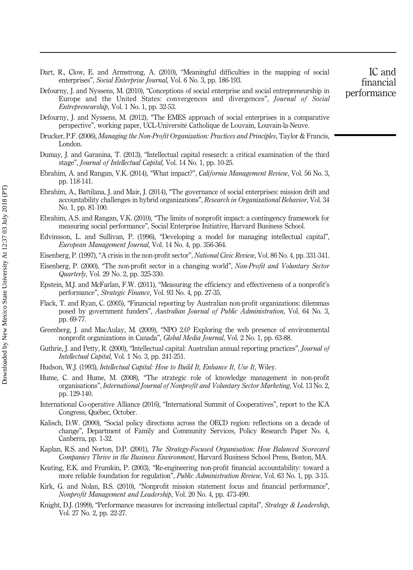- Defourny, J. and Nyssens, M. (2010), "Conceptions of social enterprise and social entrepreneurship in Europe and the United States: convergences and divergences", Journal of Social Entrepreneurship, Vol. 1 No. 1, pp. 32-53.
- Defourny, J. and Nyssens, M. (2012), "The EMES approach of social enterprises in a comparative perspective", working paper, UCL-Université Catholique de Louvain, Louvain-la-Neuve.
- Drucker, P.F. (2006), Managing the Non-Profit Organization: Practices and Principles, Taylor & Francis, London.
- Dumay, J. and Garanina, T. (2013), "Intellectual capital research: a critical examination of the third stage", Journal of Intellectual Capital, Vol. 14 No. 1, pp. 10-25.
- Ebrahim, A. and Rangan, V.K. (2014), "What impact?", California Management Review, Vol. 56 No. 3, pp. 118-141.
- Ebrahim, A., Battilana, J. and Mair, J. (2014), "The governance of social enterprises: mission drift and accountability challenges in hybrid organizations", Research in Organizational Behavior, Vol. 34 No. 1, pp. 81-100.
- Ebrahim, A.S. and Rangan, V.K. (2010), "The limits of nonprofit impact: a contingency framework for measuring social performance", Social Enterprise Initiative, Harvard Business School.
- Edvinsson, L. and Sullivan, P. (1996), "Developing a model for managing intellectual capital", European Management Journal, Vol. 14 No. 4, pp. 356-364.
- Eisenberg, P. (1997), "A crisis in the non-profit sector", *National Civic Review*, Vol. 86 No. 4, pp. 331-341.
- Eisenberg, P. (2000), "The non-profit sector in a changing world", Non-Profit and Voluntary Sector Quarterly, Vol. 29 No. 2, pp. 325-330.
- Epstein, M.J. and McFarlan, F.W. (2011), "Measuring the efficiency and effectiveness of a nonprofit's performance", Strategic Finance, Vol. 93 No. 4, pp. 27-35.
- Flack, T. and Ryan, C. (2005), "Financial reporting by Australian non-profit organizations: dilemmas posed by government funders", Australian Journal of Public Administration, Vol. 64 No. 3, pp. 69-77.
- Greenberg, J. and MacAulay, M. (2009), "NPO 2.0? Exploring the web presence of environmental nonprofit organizations in Canada", Global Media Journal, Vol. 2 No. 1, pp. 63-88.
- Guthrie, J. and Petty, R. (2000), "Intellectual capital: Australian annual reporting practices", *Journal of* Intellectual Capital, Vol. 1 No. 3, pp. 241-251.
- Hudson, W.J. (1993), Intellectual Capital: How to Build It, Enhance It, Use It, Wiley.
- Hume, C. and Hume, M. (2008), "The strategic role of knowledge management in non-profit organisations", International Journal of Nonprofit and Voluntary Sector Marketing, Vol. 13 No. 2, pp. 129-140.
- International Co-operative Alliance (2016), "International Summit of Cooperatives", report to the ICA Congress, Québec, October.
- Kalisch, D.W. (2000), "Social policy directions across the OECD region: reflections on a decade of change", Department of Family and Community Services, Policy Research Paper No. 4, Canberra, pp. 1-32.
- Kaplan, R.S. and Norton, D.P. (2001), The Strategy-Focused Organisation: How Balanced Scorecard Companies Thrive in the Business Environment, Harvard Business School Press, Boston, MA.
- Keating, E.K. and Frumkin, P. (2003), "Re-engineering non-profit financial accountability: toward a more reliable foundation for regulation", *Public Administration Review*, Vol. 63 No. 1, pp. 3-15.
- Kirk, G. and Nolan, B.S. (2010), "Nonprofit mission statement focus and financial performance", Nonprofit Management and Leadership, Vol. 20 No. 4, pp. 473-490.
- Knight, D.J. (1999), "Performance measures for increasing intellectual capital", Strategy & Leadership, Vol. 27 No. 2, pp. 22-27.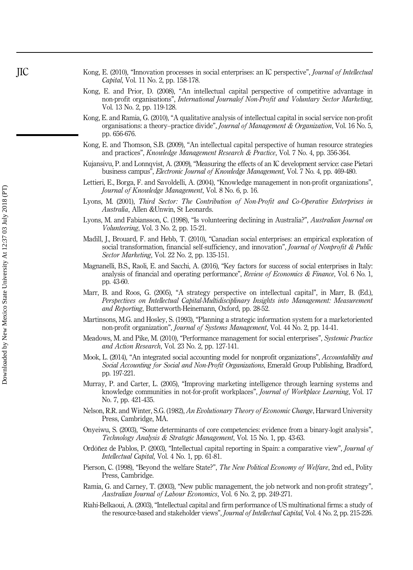- Kong, E. (2010), "Innovation processes in social enterprises: an IC perspective", Journal of Intellectual Capital, Vol. 11 No. 2, pp. 158-178.
- Kong, E. and Prior, D. (2008), "An intellectual capital perspective of competitive advantage in non-profit organisations", International Journalof Non-Profit and Voluntary Sector Marketing, Vol. 13 No. 2, pp. 119-128.
- Kong, E. and Ramia, G. (2010), "A qualitative analysis of intellectual capital in social service non-profit organisations: a theory–practice divide", Journal of Management & Organization, Vol. 16 No. 5, pp. 656-676.
- Kong, E. and Thomson, S.B. (2009), "An intellectual capital perspective of human resource strategies and practices", Knowledge Management Research & Practice, Vol. 7 No. 4, pp. 356-364.
- Kujansivu, P. and Lonnqvist, A. (2009), "Measuring the effects of an IC development service: case Pietari business campus", Electronic Journal of Knowledge Management, Vol. 7 No. 4, pp. 469-480.
- Lettieri, E., Borga, F. and Savoldelli, A. (2004), "Knowledge management in non-profit organizations", Journal of Knowledge Management, Vol. 8 No. 6, p. 16.
- Lyons, M. (2001), Third Sector: The Contribution of Non-Profit and Co-Operative Enterprises in Australia, Allen &Unwin, St Leonards.
- Lyons, M. and Fabiansson, C. (1998), "Is volunteering declining in Australia?", Australian Journal on Volunteering, Vol. 3 No. 2, pp. 15-21.
- Madill, J., Brouard, F. and Hebb, T. (2010), "Canadian social enterprises: an empirical exploration of social transformation, financial self-sufficiency, and innovation", Journal of Nonprofit & Public Sector Marketing, Vol. 22 No. 2, pp. 135-151.
- Magnanelli, B.S., Raoli, E. and Sacchi, A. (2016), "Key factors for success of social enterprises in Italy: analysis of financial and operating performance", Review of Economics & Finance, Vol. 6 No. 1, pp. 43-60.
- Marr, B. and Roos, G. (2005), "A strategy perspective on intellectual capital", in Marr, B. (Ed.), Perspectives on Intellectual Capital-Multidisciplinary Insights into Management: Measurement and Reporting, Butterworth-Heinemann, Oxford, pp. 28-52.
- Martinsons, M.G. and Hosley, S. (1993), "Planning a strategic information system for a marketoriented non-profit organization", Journal of Systems Management, Vol. 44 No. 2, pp. 14-41.
- Meadows, M. and Pike, M. (2010), "Performance management for social enterprises", Systemic Practice and Action Research, Vol. 23 No. 2, pp. 127-141.
- Mook, L. (2014), "An integrated social accounting model for nonprofit organizations", Accountability and Social Accounting for Social and Non-Profit Organizations, Emerald Group Publishing, Bradford, pp. 197-221.
- Murray, P. and Carter, L. (2005), "Improving marketing intelligence through learning systems and knowledge communities in not-for-profit workplaces", Journal of Workplace Learning, Vol. 17 No. 7, pp. 421-435.
- Nelson, R.R. and Winter, S.G. (1982), An Evolutionary Theory of Economic Change, Harward University Press, Cambridge, MA.
- Onyeiwu, S. (2003), "Some determinants of core competencies: evidence from a binary-logit analysis", Technology Analysis & Strategic Management, Vol. 15 No. 1, pp. 43-63.
- Ordóñez de Pablos, P. (2003), "Intellectual capital reporting in Spain: a comparative view", Journal of Intellectual Capital, Vol. 4 No. 1, pp. 61-81.
- Pierson, C. (1998), "Beyond the welfare State?", The New Political Economy of Welfare, 2nd ed., Polity Press, Cambridge.
- Ramia, G. and Carney, T. (2003), "New public management, the job network and non-profit strategy", Australian Journal of Labour Economics, Vol. 6 No. 2, pp. 249-271.
- Riahi-Belkaoui, A. (2003), "Intellectual capital and firm performance of US multinational firms: a study of the resource-based and stakeholder views", Journal of Intellectual Capital, Vol. 4 No. 2, pp. 215-226.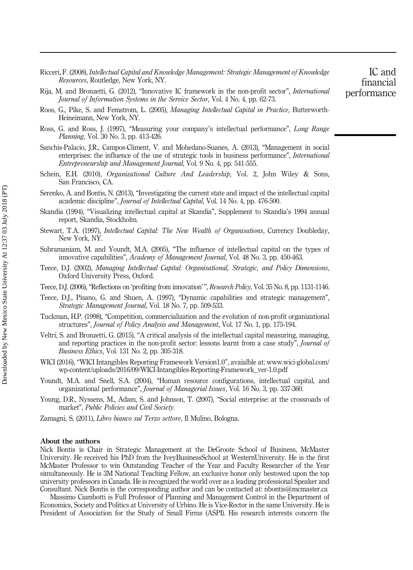- Ricceri, F. (2008), Intellectual Capital and Knowledge Management: Strategic Management of Knowledge Resources, Routledge, New York, NY.
- Rija, M. and Bronzetti, G. (2012), "Innovative IC framework in the non-profit sector", International Journal of Information Systems in the Service Sector, Vol. 4 No. 4, pp. 62-73.
- Roos, G., Pike, S. and Femstrom, L. (2005), Managing Intellectual Capital in Practice, Butterworth-Heineimann, New York, NY.
- Ross, G. and Ross, J. (1997), "Measuring your company's intellectual performance", Long Range Planning, Vol. 30 No. 3, pp. 413-426.
- Sanchis-Palacio, J.R., Campos-Climent, V. and Mohedano-Suanes, A. (2013), "Management in social enterprises: the influence of the use of strategic tools in business performance", *International* Entrepreneurship and Management Journal, Vol. 9 No. 4, pp. 541-555.
- Schein, E.H. (2010), *Organizational Culture And Leadership*, Vol. 2, John Wiley & Sons, San Francisco, CA.
- Serenko, A. and Bontis, N. (2013), "Investigating the current state and impact of the intellectual capital academic discipline", Journal of Intellectual Capital, Vol. 14 No. 4, pp. 476-500.
- Skandia (1994), "Visualizing intellectual capital at Skandia", Supplement to Skandia's 1994 annual report, Skandia, Stockholm.
- Stewart, T.A. (1997), Intellectual Capital: The New Wealth of Organisations, Currency Doubleday, New York, NY.
- Subramaniam, M. and Youndt, M.A. (2005), "The influence of intellectual capital on the types of innovative capabilities", Academy of Management Journal, Vol. 48 No. 3, pp. 450-463.
- Teece, D.J. (2002), Managing Intellectual Capital: Organisational, Strategic, and Policy Dimensions, Oxford University Press, Oxford.
- Teece, D.J. (2006), "Reflections on 'profiting from innovation'", Research Policy, Vol. 35 No. 8, pp. 1131-1146.
- Teece, D.J., Pisano, G. and Shuen, A. (1997), "Dynamic capabilities and strategic management", Strategic Management Journal, Vol. 18 No. 7, pp. 509-533.
- Tuckman, H.P. (1998), "Competition, commercialization and the evolution of non-profit organizational structures", Journal of Policy Analysis and Management, Vol. 17 No. 1, pp. 175-194.
- Veltri, S. and Bronzetti, G. (2015), "A critical analysis of the intellectual capital measuring, managing, and reporting practices in the non-profit sector: lessons learnt from a case study", *Journal of* Business Ethics, Vol. 131 No. 2, pp. 305-318.
- WICI (2016), "WICI Intangibles Reporting Framework Version1.0", avaialble at: [www.wici-global.com/](www.wici-global.com/wp-content/uploads/2016/09/WICI-Intangibles-Reporting-Framework_ver-1.0.pdf) [wp-content/uploads/2016/09/WICI-Intangibles-Reporting-Framework\\_ver-1.0.pdf](www.wici-global.com/wp-content/uploads/2016/09/WICI-Intangibles-Reporting-Framework_ver-1.0.pdf)
- Youndt, M.A. and Snell, S.A. (2004), "Human resource configurations, intellectual capital, and organizational performance", Journal of Managerial Issues, Vol. 16 No. 3, pp. 337-360.
- Young, D.R., Nyssens, M., Adam, S. and Johnson, T. (2007), "Social enterprise: at the crossroads of market", Public Policies and Civil Society.
- Zamagni, S. (2011), Libro bianco sul Terzo settore, Il Mulino, Bologna.

#### About the authors

Nick Bontis is Chair in Strategic Management at the DeGroote School of Business, McMaster University. He received his PhD from the IveyBusinessSchool at WesternUniversity. He is the first McMaster Professor to win Outstanding Teacher of the Year and Faculty Researcher of the Year simultaneously. He is 3M National Teaching Fellow, an exclusive honor only bestowed upon the top university professors in Canada. He is recognized the world over as a leading professional Speaker and Consultant. Nick Bontis is the corresponding author and can be contacted at: nbontis@mcmaster.ca

Massimo Ciambotti is Full Professor of Planning and Management Control in the Department of Economics, Society and Politics at University of Urbino. He is Vice-Rector in the same University. He is President of Association for the Study of Small Firms (ASPI). His research interests concern the